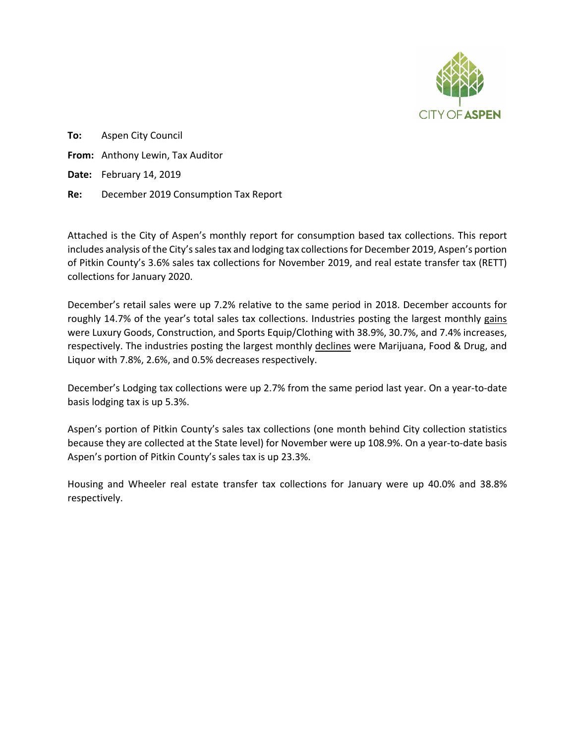

**To:** Aspen City Council **From:** Anthony Lewin, Tax Auditor **Date:** February 14, 2019 **Re:** December 2019 Consumption Tax Report

Attached is the City of Aspen's monthly report for consumption based tax collections. This report includes analysis of the City's sales tax and lodging tax collections for December 2019, Aspen's portion of Pitkin County's 3.6% sales tax collections for November 2019, and real estate transfer tax (RETT) collections for January 2020.

December's retail sales were up 7.2% relative to the same period in 2018. December accounts for roughly 14.7% of the year's total sales tax collections. Industries posting the largest monthly gains were Luxury Goods, Construction, and Sports Equip/Clothing with 38.9%, 30.7%, and 7.4% increases, respectively. The industries posting the largest monthly declines were Marijuana, Food & Drug, and Liquor with 7.8%, 2.6%, and 0.5% decreases respectively.

December's Lodging tax collections were up 2.7% from the same period last year. On a year-to-date basis lodging tax is up 5.3%.

Aspen's portion of Pitkin County's sales tax collections (one month behind City collection statistics because they are collected at the State level) for November were up 108.9%. On a year-to-date basis Aspen's portion of Pitkin County's sales tax is up 23.3%.

Housing and Wheeler real estate transfer tax collections for January were up 40.0% and 38.8% respectively.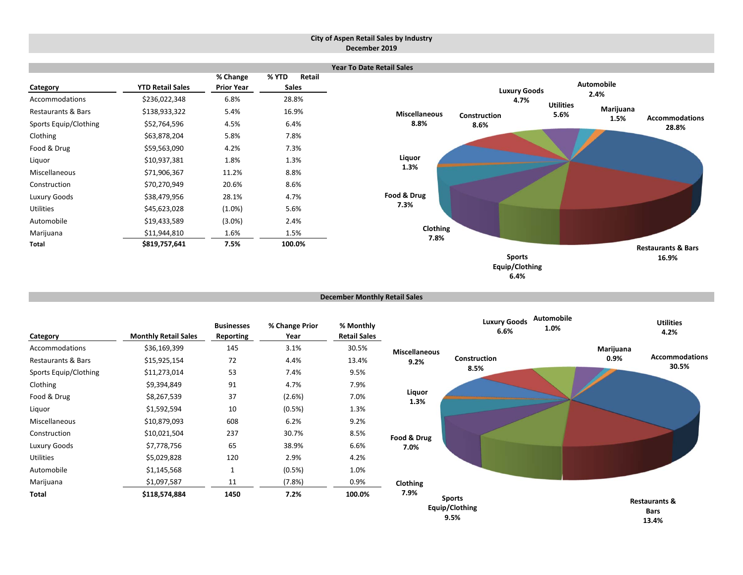#### **City of Aspen Retail Sales by Industry December 2019**



**December Monthly Retail Sales**

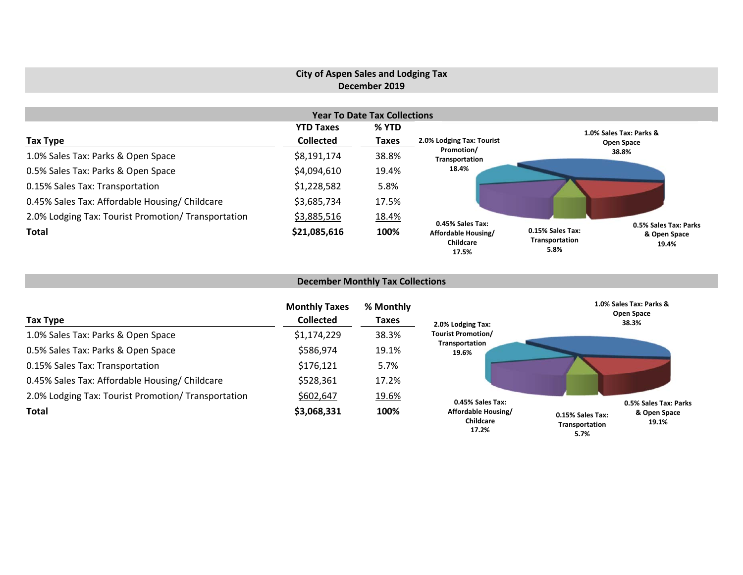## **City of Aspen Sales and Lodging Tax December 2019**

| <b>Year To Date Tax Collections</b>                 |                  |              |                                           |                                                                                              |  |  |  |  |  |  |
|-----------------------------------------------------|------------------|--------------|-------------------------------------------|----------------------------------------------------------------------------------------------|--|--|--|--|--|--|
|                                                     | <b>YTD Taxes</b> | % YTD        |                                           | 1.0% Sales Tax: Parks &                                                                      |  |  |  |  |  |  |
| Tax Type                                            | <b>Collected</b> | <b>Taxes</b> | 2.0% Lodging Tax: Tourist                 | Open Space                                                                                   |  |  |  |  |  |  |
| 1.0% Sales Tax: Parks & Open Space                  | \$8,191,174      | 38.8%        | Promotion/<br>Transportation              | 38.8%                                                                                        |  |  |  |  |  |  |
| 0.5% Sales Tax: Parks & Open Space                  | \$4,094,610      | 19.4%        | 18.4%                                     |                                                                                              |  |  |  |  |  |  |
| 0.15% Sales Tax: Transportation                     | \$1,228,582      | 5.8%         |                                           |                                                                                              |  |  |  |  |  |  |
| 0.45% Sales Tax: Affordable Housing/ Childcare      | \$3,685,734      | 17.5%        |                                           |                                                                                              |  |  |  |  |  |  |
| 2.0% Lodging Tax: Tourist Promotion/ Transportation | \$3,885,516      | 18.4%        | 0.45% Sales Tax:                          |                                                                                              |  |  |  |  |  |  |
| <b>Total</b>                                        | \$21,085,616     | 100%         | Affordable Housing/<br>Childcare<br>17.5% | 0.5% Sales Tax: Parks<br>0.15% Sales Tax:<br>& Open Space<br>Transportation<br>19.4%<br>5.8% |  |  |  |  |  |  |

## **December Monthly Tax Collections**

| Tax Type                                            | <b>Monthly Taxes</b><br><b>Collected</b> | % Monthly<br><b>Taxes</b> | 2.0% Lodging Tax:                                | 1.0% Sales Tax: Parks &<br>Open Space<br>38.3%                           |
|-----------------------------------------------------|------------------------------------------|---------------------------|--------------------------------------------------|--------------------------------------------------------------------------|
| 1.0% Sales Tax: Parks & Open Space                  | \$1,174,229                              | 38.3%                     | <b>Tourist Promotion/</b>                        |                                                                          |
| 0.5% Sales Tax: Parks & Open Space                  | \$586,974                                | 19.1%                     | Transportation<br>19.6%                          |                                                                          |
| 0.15% Sales Tax: Transportation                     | \$176,121                                | 5.7%                      |                                                  |                                                                          |
| 0.45% Sales Tax: Affordable Housing/ Childcare      | \$528,361                                | 17.2%                     |                                                  |                                                                          |
| 2.0% Lodging Tax: Tourist Promotion/ Transportation | \$602,647                                | 19.6%                     | 0.45% Sales Tax:                                 | 0.5% Sales Tax: Parks                                                    |
| <b>Total</b>                                        | \$3,068,331                              | 100%                      | Affordable Housing/<br><b>Childcare</b><br>17.2% | & Open Space<br>0.15% Sales Tax:<br>19.1%<br>Transportation<br>$E = 70/$ |

**5.7%**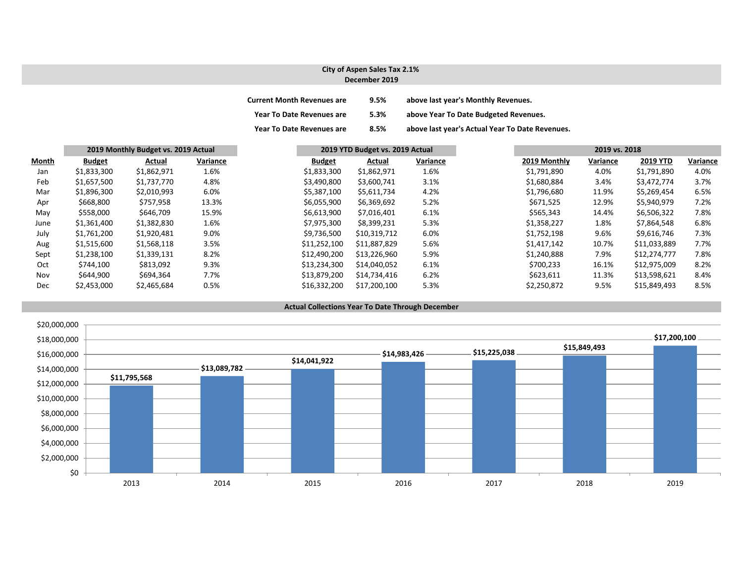#### **City of Aspen Sales Tax 2.1% December 2019**

| <b>Current Month Revenues are</b> | 9.5% | above last year's Monthly Revenues.             |
|-----------------------------------|------|-------------------------------------------------|
| <b>Year To Date Revenues are</b>  | 5.3% | above Year To Date Budgeted Revenues.           |
| <b>Year To Date Revenues are</b>  | 8.5% | above last year's Actual Year To Date Revenues. |

|              | 2019 Monthly Budget vs. 2019 Actual |             |          | 2019 YTD Budget vs. 2019 Actual |              |          | 2019 vs. 2018 |              |          |              |          |
|--------------|-------------------------------------|-------------|----------|---------------------------------|--------------|----------|---------------|--------------|----------|--------------|----------|
| <b>Month</b> | <b>Budget</b>                       | Actual      | Variance | <b>Budget</b>                   | Actual       | Variance |               | 2019 Monthly | Variance | 2019 YTD     | Variance |
| Jan          | \$1,833,300                         | \$1,862,971 | 1.6%     | \$1,833,300                     | \$1,862,971  | 1.6%     |               | \$1,791,890  | 4.0%     | \$1,791,890  | 4.0%     |
| Feb          | \$1,657,500                         | \$1,737,770 | 4.8%     | \$3,490,800                     | \$3,600,741  | 3.1%     |               | \$1,680,884  | 3.4%     | \$3,472,774  | 3.7%     |
| Mar          | \$1,896,300                         | \$2,010,993 | 6.0%     | \$5,387,100                     | \$5,611,734  | 4.2%     |               | \$1,796,680  | 11.9%    | \$5,269,454  | 6.5%     |
| Apr          | \$668,800                           | \$757,958   | 13.3%    | \$6,055,900                     | \$6,369,692  | 5.2%     |               | \$671,525    | 12.9%    | \$5,940,979  | 7.2%     |
| May          | \$558,000                           | \$646,709   | 15.9%    | \$6,613,900                     | \$7,016,401  | 6.1%     |               | \$565,343    | 14.4%    | \$6,506,322  | 7.8%     |
| June         | \$1,361,400                         | \$1,382,830 | 1.6%     | \$7,975,300                     | \$8,399,231  | 5.3%     |               | \$1,358,227  | 1.8%     | \$7,864,548  | 6.8%     |
| July         | \$1,761,200                         | \$1,920,481 | 9.0%     | \$9.736.500                     | \$10,319,712 | 6.0%     |               | \$1,752,198  | 9.6%     | \$9.616.746  | 7.3%     |
| Aug          | \$1,515,600                         | \$1,568,118 | 3.5%     | \$11,252,100                    | \$11,887,829 | 5.6%     |               | \$1,417,142  | 10.7%    | \$11,033,889 | 7.7%     |
| Sept         | \$1,238,100                         | \$1,339,131 | 8.2%     | \$12,490,200                    | \$13,226,960 | 5.9%     |               | \$1,240,888  | 7.9%     | \$12,274,777 | 7.8%     |
| Oct          | \$744,100                           | \$813,092   | 9.3%     | \$13,234,300                    | \$14,040,052 | 6.1%     |               | \$700,233    | 16.1%    | \$12,975,009 | 8.2%     |
| Nov          | \$644,900                           | \$694,364   | 7.7%     | \$13,879,200                    | \$14,734,416 | 6.2%     |               | \$623,611    | 11.3%    | \$13,598,621 | 8.4%     |
| Dec          | \$2,453,000                         | \$2,465,684 | 0.5%     | \$16,332,200                    | \$17,200,100 | 5.3%     |               | \$2,250,872  | 9.5%     | \$15,849,493 | 8.5%     |

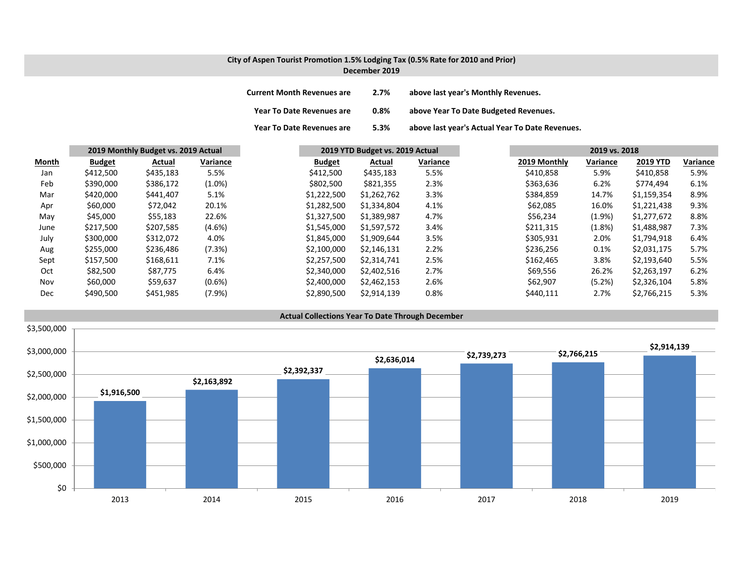#### **City of Aspen Tourist Promotion 1.5% Lodging Tax (0.5% Rate for 2010 and Prior) December 2019**

| <b>Current Month Revenues are</b> | 2.7% | above last year's Monthly Revenues.             |
|-----------------------------------|------|-------------------------------------------------|
| <b>Year To Date Revenues are</b>  | 0.8% | above Year To Date Budgeted Revenues.           |
| <b>Year To Date Revenues are</b>  | 5.3% | above last year's Actual Year To Date Revenues. |

|       | 2019 Monthly Budget vs. 2019 Actual |           |           | 2019 YTD Budget vs. 2019 Actual |             |          | 2019 vs. 2018 |           |                 |          |
|-------|-------------------------------------|-----------|-----------|---------------------------------|-------------|----------|---------------|-----------|-----------------|----------|
| Month | <b>Budget</b>                       | Actual    | Variance  | <b>Budget</b>                   | Actual      | Variance | 2019 Monthly  | Variance  | <b>2019 YTD</b> | Variance |
| Jan   | \$412,500                           | \$435,183 | 5.5%      | \$412,500                       | \$435,183   | 5.5%     | \$410,858     | 5.9%      | \$410,858       | 5.9%     |
| Feb   | \$390,000                           | \$386,172 | $(1.0\%)$ | \$802,500                       | \$821,355   | 2.3%     | \$363,636     | 6.2%      | \$774,494       | 6.1%     |
| Mar   | \$420,000                           | \$441,407 | 5.1%      | \$1,222,500                     | \$1,262,762 | 3.3%     | \$384,859     | 14.7%     | \$1,159,354     | 8.9%     |
| Apr   | \$60,000                            | \$72,042  | 20.1%     | \$1,282,500                     | \$1,334,804 | 4.1%     | \$62,085      | 16.0%     | \$1,221,438     | 9.3%     |
| May   | \$45,000                            | \$55,183  | 22.6%     | \$1,327,500                     | \$1,389,987 | 4.7%     | \$56,234      | $(1.9\%)$ | \$1,277,672     | 8.8%     |
| June  | \$217,500                           | \$207,585 | $(4.6\%)$ | \$1,545,000                     | \$1,597,572 | 3.4%     | \$211,315     | (1.8%)    | \$1,488,987     | 7.3%     |
| July  | \$300,000                           | \$312,072 | 4.0%      | \$1,845,000                     | \$1,909,644 | 3.5%     | \$305,931     | 2.0%      | \$1,794,918     | 6.4%     |
| Aug   | \$255,000                           | \$236,486 | (7.3%)    | \$2,100,000                     | \$2,146,131 | 2.2%     | \$236,256     | $0.1\%$   | \$2,031,175     | 5.7%     |
| Sept  | \$157,500                           | \$168,611 | 7.1%      | \$2,257,500                     | \$2,314,741 | 2.5%     | \$162,465     | 3.8%      | \$2,193,640     | 5.5%     |
| Oct   | \$82,500                            | \$87,775  | 6.4%      | \$2,340,000                     | \$2,402,516 | 2.7%     | \$69,556      | 26.2%     | \$2,263,197     | 6.2%     |
| Nov   | \$60,000                            | \$59,637  | $(0.6\%)$ | \$2,400,000                     | \$2,462,153 | 2.6%     | \$62,907      | (5.2%)    | \$2,326,104     | 5.8%     |
| Dec   | \$490,500                           | \$451,985 | (7.9%)    | \$2,890,500                     | \$2,914,139 | 0.8%     | \$440,111     | 2.7%      | \$2,766,215     | 5.3%     |

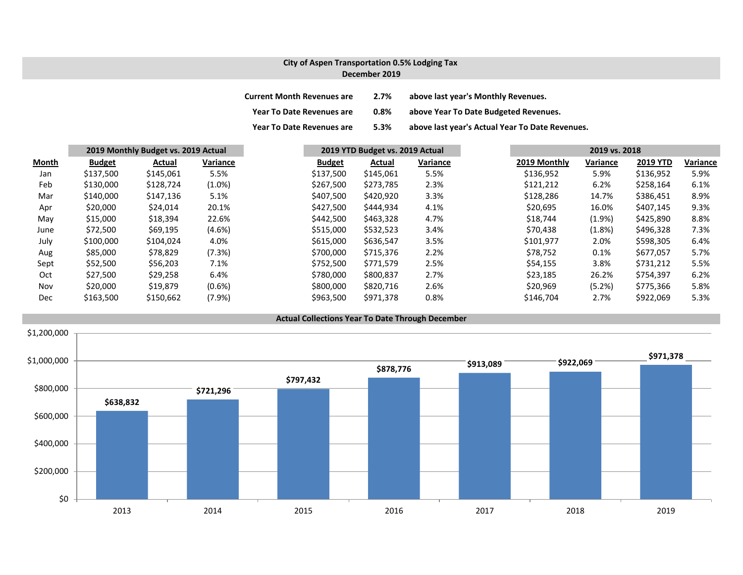### **City of Aspen Transportation 0.5% Lodging Tax December 2019**

| <b>Current Month Revenues are</b> | 2.7%    | above last year's Monthly Revenues.             |
|-----------------------------------|---------|-------------------------------------------------|
| <b>Year To Date Revenues are</b>  | $0.8\%$ | above Year To Date Budgeted Revenues.           |
| <b>Year To Date Revenues are</b>  | 5.3%    | above last year's Actual Year To Date Revenues. |

|       | 2019 Monthly Budget vs. 2019 Actual |           |           | 2019 YTD Budget vs. 2019 Actual |           |          | 2019 vs. 2018 |          |                 |          |
|-------|-------------------------------------|-----------|-----------|---------------------------------|-----------|----------|---------------|----------|-----------------|----------|
| Month | <b>Budget</b>                       | Actual    | Variance  | <b>Budget</b>                   | Actual    | Variance | 2019 Monthly  | Variance | <b>2019 YTD</b> | Variance |
| Jan   | \$137,500                           | \$145,061 | 5.5%      | \$137,500                       | \$145,061 | 5.5%     | \$136,952     | 5.9%     | \$136,952       | 5.9%     |
| Feb   | \$130,000                           | \$128,724 | $(1.0\%)$ | \$267,500                       | \$273,785 | 2.3%     | \$121,212     | 6.2%     | \$258,164       | 6.1%     |
| Mar   | \$140,000                           | \$147,136 | 5.1%      | \$407,500                       | \$420,920 | 3.3%     | \$128,286     | 14.7%    | \$386,451       | 8.9%     |
| Apr   | \$20,000                            | \$24,014  | 20.1%     | \$427,500                       | \$444,934 | 4.1%     | \$20,695      | 16.0%    | \$407,145       | 9.3%     |
| May   | \$15,000                            | \$18,394  | 22.6%     | \$442,500                       | \$463,328 | 4.7%     | \$18.744      | (1.9% )  | \$425,890       | 8.8%     |
| June  | \$72,500                            | \$69,195  | $(4.6\%)$ | \$515,000                       | \$532,523 | 3.4%     | \$70,438      | (1.8%)   | \$496,328       | 7.3%     |
| July  | \$100,000                           | \$104,024 | 4.0%      | \$615,000                       | \$636,547 | 3.5%     | \$101,977     | 2.0%     | \$598,305       | 6.4%     |
| Aug   | \$85,000                            | \$78,829  | (7.3%)    | \$700,000                       | \$715,376 | 2.2%     | \$78,752      | 0.1%     | \$677,057       | 5.7%     |
| Sept  | \$52,500                            | \$56,203  | 7.1%      | \$752,500                       | \$771,579 | 2.5%     | \$54,155      | 3.8%     | \$731,212       | 5.5%     |
| Oct   | \$27,500                            | \$29,258  | 6.4%      | \$780,000                       | \$800,837 | 2.7%     | \$23,185      | 26.2%    | \$754,397       | 6.2%     |
| Nov   | \$20,000                            | \$19,879  | $(0.6\%)$ | \$800,000                       | \$820,716 | 2.6%     | \$20,969      | (5.2%)   | \$775,366       | 5.8%     |
| Dec   | \$163,500                           | \$150,662 | (7.9%     | \$963,500                       | \$971,378 | 0.8%     | \$146,704     | 2.7%     | \$922,069       | 5.3%     |

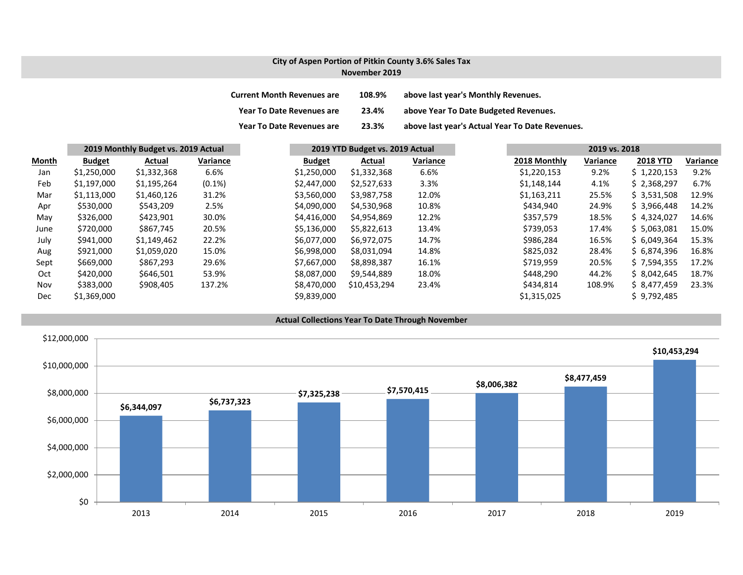#### **City of Aspen Portion of Pitkin County 3.6% Sales Tax November 2019**

| <b>Current Month Revenues are</b> | 108.9% | above last year's Monthly Revenues.             |
|-----------------------------------|--------|-------------------------------------------------|
| <b>Year To Date Revenues are</b>  | 23.4%  | above Year To Date Budgeted Revenues.           |
| <b>Year To Date Revenues are</b>  | 23.3%  | above last year's Actual Year To Date Revenues. |

|              | 2019 Monthly Budget vs. 2019 Actual |             |           |               | 2019 YTD Budget vs. 2019 Actual |          |  |              | 2019 vs. 2018 |                 |          |  |  |
|--------------|-------------------------------------|-------------|-----------|---------------|---------------------------------|----------|--|--------------|---------------|-----------------|----------|--|--|
| <b>Month</b> | <b>Budget</b>                       | Actual      | Variance  | <b>Budget</b> | Actual                          | Variance |  | 2018 Monthly | Variance      | <b>2018 YTD</b> | Variance |  |  |
| Jan          | \$1,250,000                         | \$1,332,368 | 6.6%      | \$1,250,000   | \$1,332,368                     | 6.6%     |  | \$1,220,153  | 9.2%          | \$1,220,153     | 9.2%     |  |  |
| Feb          | \$1,197,000                         | \$1,195,264 | $(0.1\%)$ | \$2,447,000   | \$2,527,633                     | 3.3%     |  | \$1,148,144  | 4.1%          | \$2,368,297     | 6.7%     |  |  |
| Mar          | \$1,113,000                         | \$1,460,126 | 31.2%     | \$3,560,000   | \$3,987,758                     | 12.0%    |  | \$1,163,211  | 25.5%         | \$3,531,508     | 12.9%    |  |  |
| Apr          | \$530,000                           | \$543,209   | 2.5%      | \$4,090,000   | \$4,530,968                     | 10.8%    |  | \$434,940    | 24.9%         | \$3,966,448     | 14.2%    |  |  |
| May          | \$326,000                           | \$423,901   | 30.0%     | \$4,416,000   | \$4,954,869                     | 12.2%    |  | \$357,579    | 18.5%         | \$4,324,027     | 14.6%    |  |  |
| June         | \$720,000                           | \$867,745   | 20.5%     | \$5,136,000   | \$5,822,613                     | 13.4%    |  | \$739,053    | 17.4%         | \$5,063,081     | 15.0%    |  |  |
| July         | \$941,000                           | \$1,149,462 | 22.2%     | \$6,077,000   | \$6,972,075                     | 14.7%    |  | \$986,284    | 16.5%         | \$6,049,364     | 15.3%    |  |  |
| Aug          | \$921,000                           | \$1,059,020 | 15.0%     | \$6,998,000   | \$8,031,094                     | 14.8%    |  | \$825,032    | 28.4%         | \$6,874,396     | 16.8%    |  |  |
| Sept         | \$669,000                           | \$867,293   | 29.6%     | \$7.667.000   | \$8,898,387                     | 16.1%    |  | \$719,959    | 20.5%         | \$7,594,355     | 17.2%    |  |  |
| Oct          | \$420,000                           | \$646,501   | 53.9%     | \$8,087,000   | \$9,544,889                     | 18.0%    |  | \$448,290    | 44.2%         | \$8,042,645     | 18.7%    |  |  |
| Nov          | \$383,000                           | \$908,405   | 137.2%    | \$8,470,000   | \$10,453,294                    | 23.4%    |  | \$434,814    | 108.9%        | \$ 8.477.459    | 23.3%    |  |  |
| Dec          | \$1,369,000                         |             |           | \$9,839,000   |                                 |          |  | \$1,315,025  |               | \$9,792,485     |          |  |  |

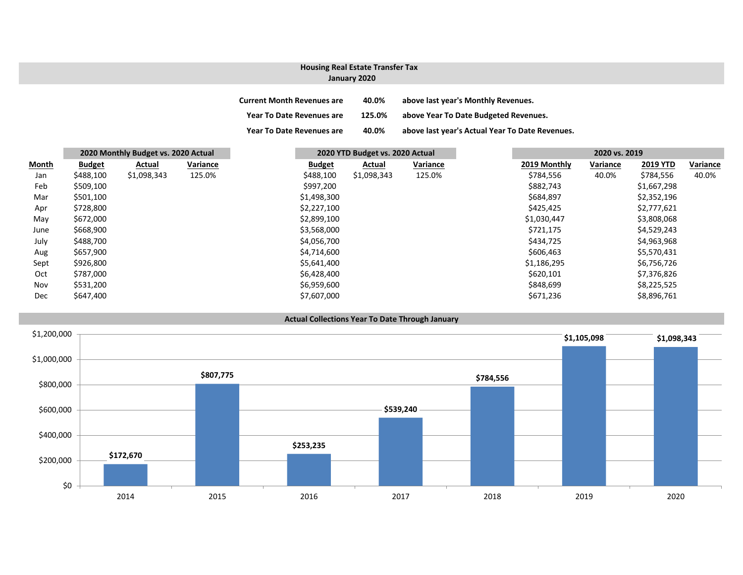# **Housing Real Estate Transfer Tax**

**January 2020**

| <b>Current Month Revenues are</b> | 40.0%  | above last year's Monthly Revenues.             |
|-----------------------------------|--------|-------------------------------------------------|
| Year To Date Revenues are         | 125.0% | above Year To Date Budgeted Revenues.           |
| Year To Date Revenues are         | 40.0%  | above last year's Actual Year To Date Revenues. |

|            | 2020 Monthly Budget vs. 2020 Actual |             |          |               | 2020 YTD Budget vs. 2020 Actual |          |  | 2020 vs. 2019 |          |                 |          |
|------------|-------------------------------------|-------------|----------|---------------|---------------------------------|----------|--|---------------|----------|-----------------|----------|
| Month      | <b>Budget</b>                       | Actual      | Variance | <b>Budget</b> | Actual                          | Variance |  | 2019 Monthly  | Variance | <b>2019 YTD</b> | Variance |
| Jan        | \$488,100                           | \$1,098,343 | 125.0%   | \$488,100     | \$1,098,343                     | 125.0%   |  | \$784,556     | 40.0%    | \$784,556       | 40.0%    |
| Feb        | \$509,100                           |             |          | \$997,200     |                                 |          |  | \$882,743     |          | \$1,667,298     |          |
| Mar        | \$501,100                           |             |          | \$1,498,300   |                                 |          |  | \$684,897     |          | \$2,352,196     |          |
| Apr        | \$728,800                           |             |          | \$2,227,100   |                                 |          |  | \$425,425     |          | \$2,777,621     |          |
| May        | \$672,000                           |             |          | \$2,899,100   |                                 |          |  | \$1,030,447   |          | \$3,808,068     |          |
| June       | \$668,900                           |             |          | \$3,568,000   |                                 |          |  | \$721,175     |          | \$4,529,243     |          |
| July       | \$488,700                           |             |          | \$4,056,700   |                                 |          |  | \$434,725     |          | \$4,963,968     |          |
| Aug        | \$657,900                           |             |          | \$4,714,600   |                                 |          |  | \$606,463     |          | \$5,570,431     |          |
| Sept       | \$926,800                           |             |          | \$5,641,400   |                                 |          |  | \$1,186,295   |          | \$6,756,726     |          |
| Oct        | \$787,000                           |             |          | \$6,428,400   |                                 |          |  | \$620,101     |          | \$7,376,826     |          |
| Nov        | \$531,200                           |             |          | \$6,959,600   |                                 |          |  | \$848,699     |          | \$8,225,525     |          |
| <b>Dec</b> | \$647,400                           |             |          | \$7,607,000   |                                 |          |  | \$671,236     |          | \$8,896,761     |          |